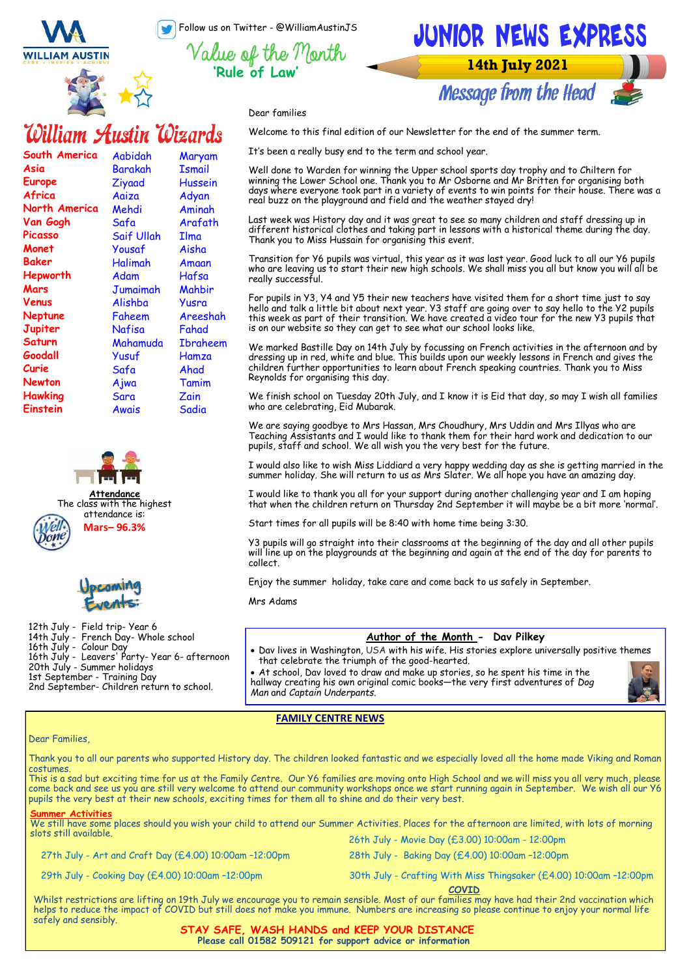Follow us on Twitter - @WilliamAustinJS

**'Rule of Law'**

**WILLIAM AUSTIN** 

**South America**

**North America Van Gogh Picasso Monet Baker Hepworth Mars Venus Neptune Jupiter Saturn Goodall Curie Newton Hawking Einstein** 

**Asia Europe Africa** 



Aabidah Barakah Ziyaad Aaiza Mehdi Safa Saif Ullah Yousaf Halimah Adam Jumaimah Alishba Faheem Nafisa Mahamuda Yusuf Safa Ajwa Sara Awais

William Austin Wizards

Maryam **Ismail** Hussein Adyan Aminah Arafath Ilma Aisha Amaan Hafsa Mahbir Yusra Areeshah Fahad Ibraheem **Hamza** Ahad Tamim Zain **Sadia** 

**Attendance** The class with the highest attendance is: **Mars– 96.3%**

12th July - Field trip- Year 6 14th July - French Day- Whole school

20th July - Summer holidays 1st September - Training Day

16th July - Leavers' Party- Year 6- afternoon

2nd September- Children return to school.

16th July - Colour Day

## JUNIOR NEWS EXPRESS **14th July 2021**

**Message from the Head** 

Dear families

Welcome to this final edition of our Newsletter for the end of the summer term.

It's been a really busy end to the term and school year.

Well done to Warden for winning the Upper school sports day trophy and to Chiltern for winning the Lower School one. Thank you to Mr Osborne and Mr Britten for organising both days where everyone took part in a variety of events to win points for their house. There was a real buzz on the playground and field and the weather stayed dry!

Last week was History day and it was great to see so many children and staff dressing up in different historical clothes and taking part in lessons with a historical theme during the day. Thank you to Miss Hussain for organising this event.

Transition for Y6 pupils was virtual, this year as it was last year. Good luck to all our Y6 pupils who are leaving us to start their new high schools. We shall miss you all but know you will all be really successful.

For pupils in Y3, Y4 and Y5 their new teachers have visited them for a short time just to say hello and talk a little bit about next year. Y3 staff are going over to say hello to the Y2 pupils this week as part of their transition. We have created a video tour for the new Y3 pupils that is on our website so they can get to see what our school looks like.

We marked Bastille Day on 14th July by focussing on French activities in the afternoon and by dressing up in red, white and blue. This builds upon our weekly lessons in French and gives the children further opportunities to learn about French speaking countries. Thank you to Miss Reynolds for organising this day.

We finish school on Tuesday 20th July, and I know it is Eid that day, so may I wish all families who are celebrating, Eid Mubarak.

We are saying goodbye to Mrs Hassan, Mrs Choudhury, Mrs Uddin and Mrs Illyas who are Teaching Assistants and I would like to thank them for their hard work and dedication to our pupils, staff and school. We all wish you the very best for the future.

I would also like to wish Miss Liddiard a very happy wedding day as she is getting married in the summer holiday. She will return to us as Mrs Slater. We all hope you have an amazing day.

I would like to thank you all for your support during another challenging year and I am hoping that when the children return on Thursday 2nd September it will maybe be a bit more 'normal'.

Start times for all pupils will be 8:40 with home time being 3:30.

Y3 pupils will go straight into their classrooms at the beginning of the day and all other pupils will line up on the playgrounds at the beginning and again at the end of the day for parents to collect.

Enjoy the summer holiday, take care and come back to us safely in September.

Mrs Adams

## **Author of the Month - Dav Pilkey**

• Dav lives in Washington, USA with his wife. His stories explore universally positive themes that celebrate the triumph of the good-hearted.

• At school, Dav loved to draw and make up stories, so he spent his time in the hallway creating his own original comic books—the very first adventures of *Dog Man* and *Captain Underpants*.



**FAMILY CENTRE NEWS**

## Dear Families,

Thank you to all our parents who supported History day. The children looked fantastic and we especially loved all the home made Viking and Roman costumes.

This is a sad but exciting time for us at the Family Centre. Our Y6 families are moving onto High School and we will miss you all very much, please come back and see us you are still very welcome to attend our community workshops once we start running again in September. We wish all our Y6 pupils the very best at their new schools, exciting times for them all to shine and do their very best.

### **Summer Activities**

We still have some places should you wish your child to attend our Summer Activities. Places for the afternoon are limited, with lots of morning slots still available. 26th July - Movie Day (£3.00) 10:00am - 12:00pm

27th July - Art and Craft Day (£4.00) 10:00am –12:00pm 28th July - Baking Day (£4.00) 10:00am –12:00pm

29th July - Cooking Day (£4.00) 10:00am –12:00pm

30th July - Crafting With Miss Thingsaker (£4.00) 10:00am –12:00pm

**COVID**  Whilst restrictions are lifting on 19th July we encourage you to remain sensible. Most of our families may have had their 2nd vaccination which helps to reduce the impact of COVID but still does not make you immune. Numbers are increasing so please continue to enjoy your normal life safely and sensibly.

## **STAY SAFE, WASH HANDS and KEEP YOUR DISTANCE Please call 01582 509121 for support advice or information**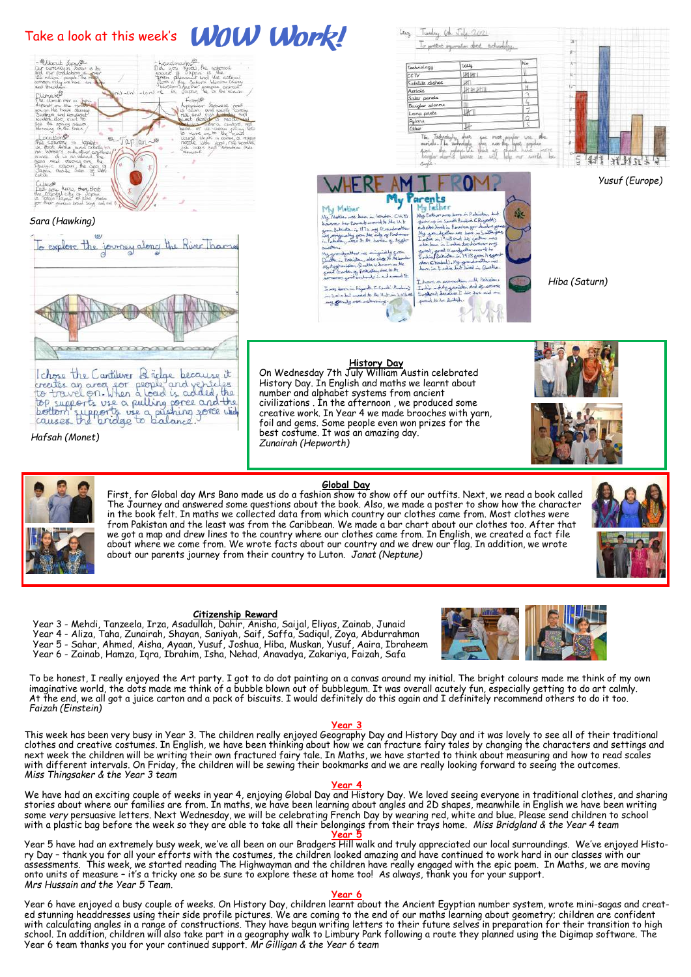## Take a look at this week's **WOW Work!**



## *Sara (Hawking)*



Ichose the Cartilever Bridge because it<br>creates an area for people and versicles<br>to travel on. When a load is added, the<br>top supports use a pulling gone and the<br>bottom supports use a pushing some wide<br>causes the pridge to

*Hafsah (Monet)*

### Technology Tally 团批  $\overline{cc}$ TV Satellite dishes Luri **UP BY BY III** Solar pane **Burglar alarms** unp posts **UKT** Pylans 榧 , Tackandaghy, chunc<br>inle, The Technologie<br>c., algo pylongi U.C.<br>glar algorid Technolo 長崎 Pid<br>Add

Cruz Tunday 6th July 2021

To present importation about technology.



 *Yusuf (Europe)*



-<br>Loos doon in Riyadd, C.Saudi Arabao)<br>in Lola but mored to the U.A.in Lolle<br>my growity was naturing.

India ad Assamiston and<br>England because I his to<br>poold to be limited. ï

*Hiba (Saturn)*

P)

段



On Wednesday 7th July William Austin celebrated History Day. In English and maths we learnt about number and alphabet systems from ancient civilizations . In the afternoon , we produced some creative work. In Year 4 we made brooches with yarn, foil and gems. Some people even won prizes for the best costume. It was an amazing day. *Zunairah (Hepworth)*

**Global Day** First, for Global day Mrs Bano made us do a fashion show to show off our outfits. Next, we read a book called The Journey and answered some questions about the book. Also, we made a poster to show how the character in the book felt. In maths we collected data from which country our clothes came from. Most clothes were from Pakistan and the least was from the Caribbean. We made a bar chart about our clothes too. After that we got a map and drew lines to the country where our clothes came from. In English, we created a fact file about where we come from. We wrote facts about our country and we drew our flag. In addition, we wrote about our parents journey from their country to Luton. *Janat (Neptune)*



## **Citizenship Reward**

Year 3 - Mehdi, Tanzeela, Irza, Asadullah, Dahir, Anisha, Saijal, Eliyas, Zainab, Junaid Year 4 - Aliza, Taha, Zunairah, Shayan, Saniyah, Saif, Saffa, Sadiqul, Zoya, Abdurrahman Year 5 - Sahar, Ahmed, Aisha, Ayaan, Yusuf, Joshua, Hiba, Muskan, Yusuf, Aaira, Ibraheem Year 6 - Zainab, Hamza, Iqra, Ibrahim, Isha, Nehad, Anavadya, Zakariya, Faizah, Safa

To be honest, I really enjoyed the Art party. I got to do dot painting on a canvas around my initial. The bright colours made me think of my own imaginative world, the dots made me think of a bubble blown out of bubblegum. It was overall acutely fun, especially getting to do art calmly. At the end, we all got a juice carton and a pack of biscuits. I would definitely do this again and I definitely recommend others to do it too. *Faizah (Einstein)*

## **Year 3**

This week has been very busy in Year 3. The children really enjoyed Geography Day and History Day and it was lovely to see all of their traditional clothes and creative costumes. In English, we have been thinking about how we can fracture fairy tales by changing the characters and settings and next week the children will be writing their own fractured fairy tale. In Maths, we have started to think about measuring and how to read scales with different intervals. On Friday, the children will be sewing their bookmarks and we are really looking forward to seeing the outcomes. *Miss Thingsaker & the Year 3 team*

**Year 4**

We have had an exciting couple of weeks in year 4, enjoying Global Day and History Day. We loved seeing everyone in traditional clothes, and sharing stories about where our families are from. In maths, we have been learning about angles and 2D shapes, meanwhile in English we have been writing some *very* persuasive letters. Next Wednesday, we will be celebrating French Day by wearing red, white and blue. Please send children to school with a plastic bag before the week so they are able to take all their belongings from their trays home. *Miss Bridgland & the Year 4 team*

## **Year 5**

Year 5 have had an extremely busy week, we've all been on our Bradgers Hill walk and truly appreciated our local surroundings. We've enjoyed History Day – thank you for all your efforts with the costumes, the children looked amazing and have continued to work hard in our classes with our assessments. This week, we started reading The Highwayman and the children have really engaged with the epic poem. In Maths, we are moving onto units of measure – it's a tricky one so be sure to explore these at home too! As always, thank you for your support. *Mrs Hussain and the Year 5 Team.*

## **Year 6**

Year 6 have enjoyed a busy couple of weeks. On History Day, children learnt about the Ancient Egyptian number system, wrote mini-sagas and created stunning headdresses using their side profile pictures. We are coming to the end of our maths learning about geometry; children are confident with calculating angles in a range of constructions. They have begun writing letters to their future selves in preparation for their transition to high school. In addition, children will also take part in a geography walk to Limbury Park following a route they planned using the Digimap software. The Year 6 team thanks you for your continued support. *Mr Gilligan & the Year 6 team*

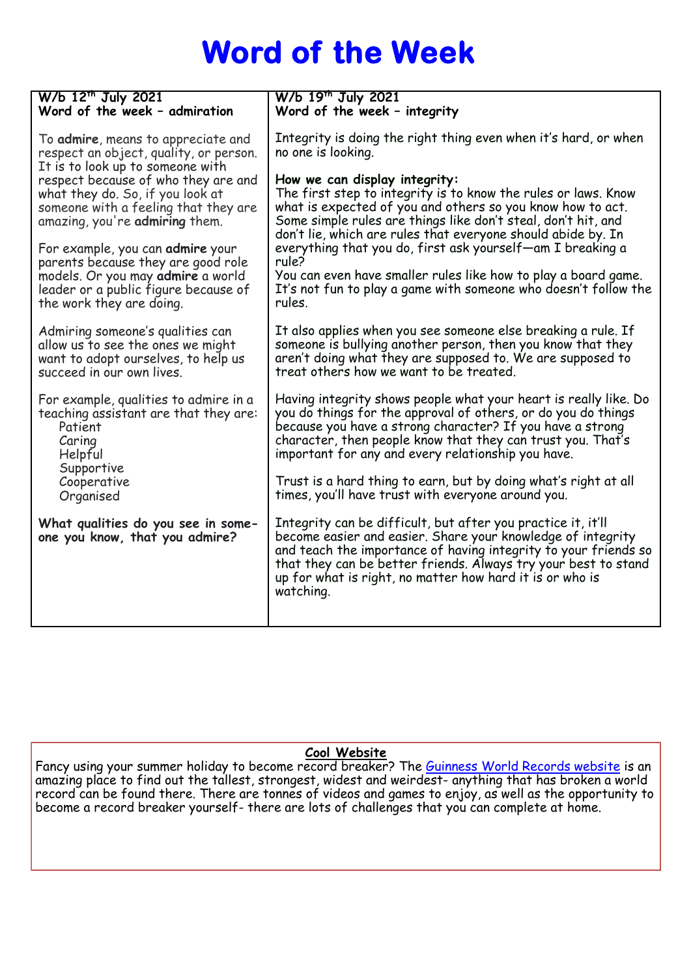# **Word of the Week**

| W/b 12 <sup>th</sup> July 2021                                                                                                                           | W/b 19 <sup>th</sup> July 2021                                                                                                                                                                                                                                                                                                                                                                                                               |
|----------------------------------------------------------------------------------------------------------------------------------------------------------|----------------------------------------------------------------------------------------------------------------------------------------------------------------------------------------------------------------------------------------------------------------------------------------------------------------------------------------------------------------------------------------------------------------------------------------------|
| Word of the week - admiration                                                                                                                            | Word of the week - integrity                                                                                                                                                                                                                                                                                                                                                                                                                 |
| To <b>admire</b> , means to appreciate and                                                                                                               | Integrity is doing the right thing even when it's hard, or when                                                                                                                                                                                                                                                                                                                                                                              |
| respect an object, quality, or person.                                                                                                                   | no one is looking.                                                                                                                                                                                                                                                                                                                                                                                                                           |
| It is to look up to someone with                                                                                                                         | How we can display integrity:                                                                                                                                                                                                                                                                                                                                                                                                                |
| respect because of who they are and                                                                                                                      | The first step to integrity is to know the rules or laws. Know                                                                                                                                                                                                                                                                                                                                                                               |
| what they do. So, if you look at                                                                                                                         | what is expected of you and others so you know how to act.                                                                                                                                                                                                                                                                                                                                                                                   |
| someone with a feeling that they are                                                                                                                     | Some simple rules are things like don't steal, don't hit, and                                                                                                                                                                                                                                                                                                                                                                                |
| amazing, you're admiring them.                                                                                                                           | don't lie, which are rules that everyone should abide by. In                                                                                                                                                                                                                                                                                                                                                                                 |
| For example, you can admire your                                                                                                                         | everything that you do, first ask yourself—am I breaking a                                                                                                                                                                                                                                                                                                                                                                                   |
| parents because they are good role                                                                                                                       | rule?                                                                                                                                                                                                                                                                                                                                                                                                                                        |
| models. Or you may admire a world                                                                                                                        | You can even have smaller rules like how to play a board game.                                                                                                                                                                                                                                                                                                                                                                               |
| leader or a public figure because of                                                                                                                     | It's not fun to play a game with someone who doesn't follow the                                                                                                                                                                                                                                                                                                                                                                              |
| the work they are doing.                                                                                                                                 | rules.                                                                                                                                                                                                                                                                                                                                                                                                                                       |
| Admiring someone's qualities can                                                                                                                         | It also applies when you see someone else breaking a rule. If                                                                                                                                                                                                                                                                                                                                                                                |
| allow us to see the ones we might                                                                                                                        | someone is bullying another person, then you know that they                                                                                                                                                                                                                                                                                                                                                                                  |
| want to adopt ourselves, to help us                                                                                                                      | aren't doing what they are supposed to. We are supposed to                                                                                                                                                                                                                                                                                                                                                                                   |
| succeed in our own lives.                                                                                                                                | treat others how we want to be treated.                                                                                                                                                                                                                                                                                                                                                                                                      |
| For example, qualities to admire in a<br>teaching assistant are that they are:<br>Patient<br>Caring<br>Helpful<br>Supportive<br>Cooperative<br>Organised | Having integrity shows people what your heart is really like. Do<br>you do things for the approval of others, or do you do things<br>because you have a strong character? If you have a strong<br>character, then people know that they can trust you. That's<br>important for any and every relationship you have.<br>Trust is a hard thing to earn, but by doing what's right at all<br>times, you'll have trust with everyone around you. |
| What qualities do you see in some-<br>one you know, that you admire?                                                                                     | Integrity can be difficult, but after you practice it, it'll<br>become easier and easier. Share your knowledge of integrity<br>and teach the importance of having integrity to your friends so<br>that they can be better friends. Always try your best to stand<br>up for what is right, no matter how hard it is or who is<br>watching.                                                                                                    |

## **Cool Website**

Fancy using your summer holiday to become record breaker? The <u>Guinness World Records website</u> is an amazing place to find out the tallest, strongest, widest and weirdest- anything that has broken a world record can be found there. There are tonnes of videos and games to enjoy, as well as the opportunity to become a record breaker yourself- there are lots of challenges that you can complete at home.